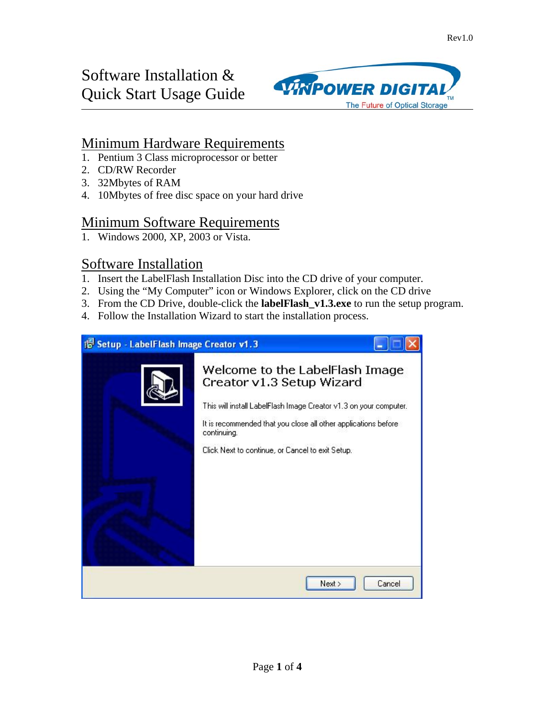# Software Installation & Quick Start Usage Guide



### Minimum Hardware Requirements

- 1. Pentium 3 Class microprocessor or better
- 2. CD/RW Recorder
- 3. 32Mbytes of RAM
- 4. 10Mbytes of free disc space on your hard drive

#### Minimum Software Requirements

1. Windows 2000, XP, 2003 or Vista.

#### Software Installation

- 1. Insert the LabelFlash Installation Disc into the CD drive of your computer.
- 2. Using the "My Computer" icon or Windows Explorer, click on the CD drive
- 3. From the CD Drive, double-click the **labelFlash\_v1.3.exe** to run the setup program.
- 4. Follow the Installation Wizard to start the installation process.

| 15 Setup - LabelFlash Image Creator v1.3 |                                                                                                                                                                                                                                                                        |
|------------------------------------------|------------------------------------------------------------------------------------------------------------------------------------------------------------------------------------------------------------------------------------------------------------------------|
|                                          | Welcome to the LabelFlash Image<br>Creator v1.3 Setup Wizard<br>This will install LabelFlash Image Creator v1.3 on your computer.<br>It is recommended that you close all other applications before<br>continuing.<br>Click Next to continue, or Cancel to exit Setup. |
|                                          | Next ><br>Cancel                                                                                                                                                                                                                                                       |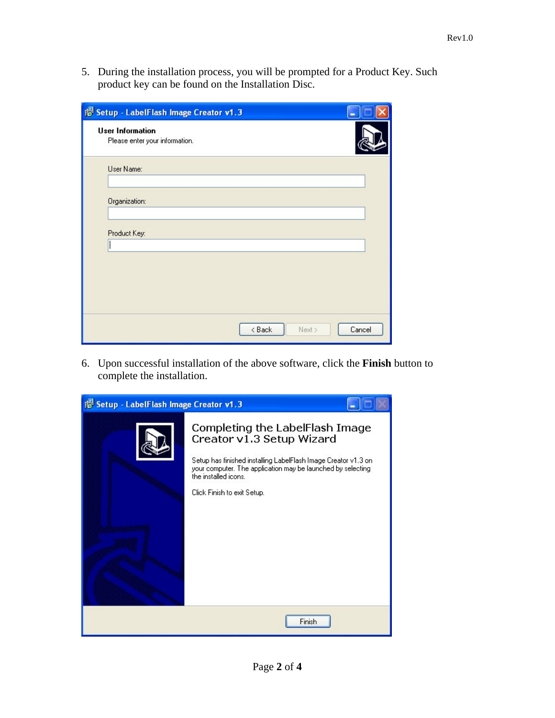5. During the installation process, you will be prompted for a Product Key. Such product key can be found on the Installation Disc.

| 18 Setup - LabelFlash Image Creator v1.3                  |                            |
|-----------------------------------------------------------|----------------------------|
| <b>User Information</b><br>Please enter your information. |                            |
| User Name:                                                |                            |
| Organization:                                             |                            |
| Product Key:                                              |                            |
|                                                           |                            |
|                                                           |                            |
|                                                           |                            |
|                                                           | Cancel<br>< Back<br>Next > |

6. Upon successful installation of the above software, click the **Finish** button to complete the installation.

| 15 Setup - LabelFlash Image Creator v1.3 |                                                                                                                                                                                                                                                      |  |  |
|------------------------------------------|------------------------------------------------------------------------------------------------------------------------------------------------------------------------------------------------------------------------------------------------------|--|--|
|                                          | Completing the LabelFlash Image<br>Creator v1.3 Setup Wizard<br>Setup has finished installing LabelFlash Image Creator v1.3 on<br>your computer. The application may be launched by selecting<br>the installed icons.<br>Click Finish to exit Setup. |  |  |
|                                          | Finish                                                                                                                                                                                                                                               |  |  |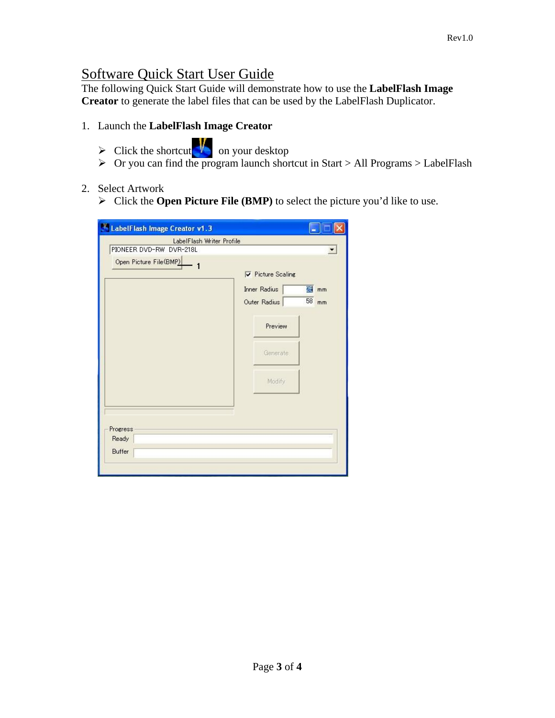## Software Quick Start User Guide

The following Quick Start Guide will demonstrate how to use the **LabelFlash Image Creator** to generate the label files that can be used by the LabelFlash Duplicator.

- 1. Launch the **LabelFlash Image Creator** 
	- $\triangleright$  Click the shortcut  $\sqrt{\frac{1}{2}}$  on your desktop
	- $\triangleright$  Or you can find the program launch shortcut in Start > All Programs > LabelFlash

#### 2. Select Artwork

Click the **Open Picture File (BMP)** to select the picture you'd like to use.

| <sup>W</sup> LabelFlash Image Creator v1.3 |                          |       |
|--------------------------------------------|--------------------------|-------|
| LabelFlash Writer Profile                  |                          |       |
| PIONEER DVD-RW DVR-218L                    |                          |       |
| Open Picture File(BMP)                     | $\nabla$ Picture Scaling |       |
|                                            | <b>Inner Radius</b>      | 图 mm  |
|                                            | Outer Radius             | 58 mm |
|                                            | Preview                  |       |
|                                            | Generate                 |       |
|                                            | Modify                   |       |
| Progress<br>Ready<br><b>Buffer</b>         |                          |       |
|                                            |                          |       |